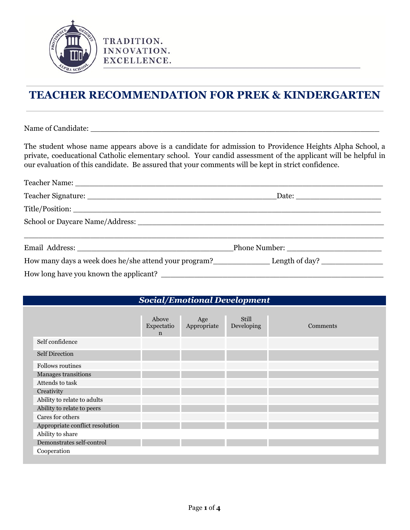

# **TEACHER RECOMMENDATION FOR PREK & KINDERGARTEN**

Name of Candidate: \_\_\_\_\_\_\_\_\_\_\_\_\_\_\_\_\_\_\_\_\_\_\_\_\_\_\_\_\_\_\_\_\_\_\_\_\_\_\_\_\_\_\_\_\_\_\_\_\_\_\_\_\_\_\_\_\_\_\_\_\_

The student whose name appears above is a candidate for admission to Providence Heights Alpha School, a private, coeducational Catholic elementary school. Your candid assessment of the applicant will be helpful in our evaluation of this candidate. Be assured that your comments will be kept in strict confidence.

| Email Address: Phone Number: Phone Number: |  |
|--------------------------------------------|--|
|                                            |  |
|                                            |  |

#### *Social/Emotional Development*

|                                 | Above<br>Expectatio<br>$\mathbf n$ | Age<br>Appropriate | Still<br>Developing | Comments |
|---------------------------------|------------------------------------|--------------------|---------------------|----------|
| Self confidence                 |                                    |                    |                     |          |
| <b>Self Direction</b>           |                                    |                    |                     |          |
| <b>Follows routines</b>         |                                    |                    |                     |          |
| Manages transitions             |                                    |                    |                     |          |
| Attends to task                 |                                    |                    |                     |          |
| Creativity                      |                                    |                    |                     |          |
| Ability to relate to adults     |                                    |                    |                     |          |
| Ability to relate to peers      |                                    |                    |                     |          |
| Cares for others                |                                    |                    |                     |          |
| Appropriate conflict resolution |                                    |                    |                     |          |
| Ability to share                |                                    |                    |                     |          |
| Demonstrates self-control       |                                    |                    |                     |          |
| Cooperation                     |                                    |                    |                     |          |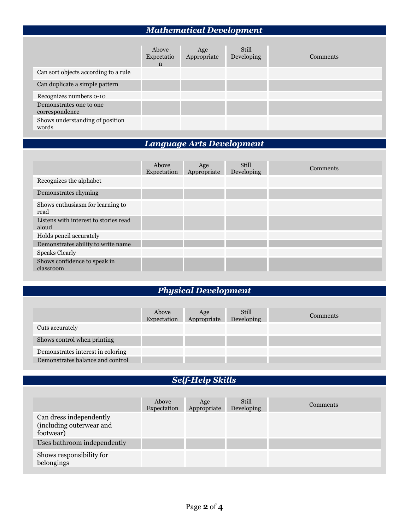## *Mathematical Development*

|                                           | Above<br>Expectatio<br>$\mathbf n$ | Age<br>Appropriate | Still<br>Developing | Comments |
|-------------------------------------------|------------------------------------|--------------------|---------------------|----------|
| Can sort objects according to a rule      |                                    |                    |                     |          |
| Can duplicate a simple pattern            |                                    |                    |                     |          |
| Recognizes numbers 0-10                   |                                    |                    |                     |          |
| Demonstrates one to one<br>correspondence |                                    |                    |                     |          |
| Shows understanding of position<br>words  |                                    |                    |                     |          |

## *Language Arts Development*

|                                                | Above<br>Expectation | Age<br>Appropriate | Still<br>Developing | Comments |
|------------------------------------------------|----------------------|--------------------|---------------------|----------|
| Recognizes the alphabet                        |                      |                    |                     |          |
| Demonstrates rhyming                           |                      |                    |                     |          |
| Shows enthusiasm for learning to<br>read       |                      |                    |                     |          |
| Listens with interest to stories read<br>aloud |                      |                    |                     |          |
| Holds pencil accurately                        |                      |                    |                     |          |
| Demonstrates ability to write name             |                      |                    |                     |          |
| <b>Speaks Clearly</b>                          |                      |                    |                     |          |
| Shows confidence to speak in<br>classroom      |                      |                    |                     |          |

## *Physical Development*

|                                   | Above<br>Expectation | Age<br>Appropriate | Still<br>Developing | <b>Comments</b> |
|-----------------------------------|----------------------|--------------------|---------------------|-----------------|
| Cuts accurately                   |                      |                    |                     |                 |
| Shows control when printing       |                      |                    |                     |                 |
| Demonstrates interest in coloring |                      |                    |                     |                 |
| Demonstrates balance and control  |                      |                    |                     |                 |

#### *Self-Help Skills*

|                                                                  | Above<br>Expectation | Age<br>Appropriate | Still<br>Developing | Comments |
|------------------------------------------------------------------|----------------------|--------------------|---------------------|----------|
| Can dress independently<br>(including outerwear and<br>footwear) |                      |                    |                     |          |
| Uses bathroom independently                                      |                      |                    |                     |          |
| Shows responsibility for<br>belongings                           |                      |                    |                     |          |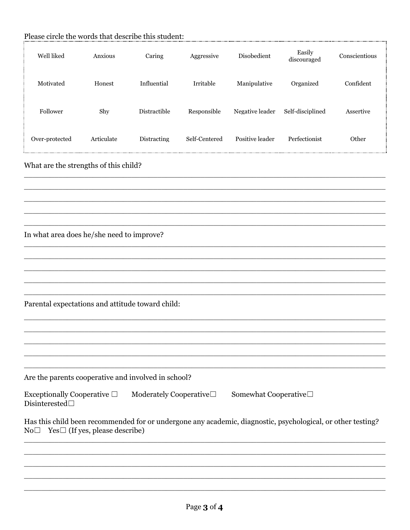|                                                                                                                                                                        | Please circle the words that describe this student: |              |               |                 |                       |               |  |  |
|------------------------------------------------------------------------------------------------------------------------------------------------------------------------|-----------------------------------------------------|--------------|---------------|-----------------|-----------------------|---------------|--|--|
| Well liked                                                                                                                                                             | Anxious                                             | Caring       | Aggressive    | Disobedient     | Easily<br>discouraged | Conscientious |  |  |
| Motivated                                                                                                                                                              | Honest                                              | Influential  | Irritable     | Manipulative    | Organized             | Confident     |  |  |
| Follower                                                                                                                                                               | Shy                                                 | Distractible | Responsible   | Negative leader | Self-disciplined      | Assertive     |  |  |
| Over-protected                                                                                                                                                         | Articulate                                          | Distracting  | Self-Centered | Positive leader | Perfectionist         | Other         |  |  |
| What are the strengths of this child?                                                                                                                                  |                                                     |              |               |                 |                       |               |  |  |
|                                                                                                                                                                        |                                                     |              |               |                 |                       |               |  |  |
| In what area does he/she need to improve?                                                                                                                              |                                                     |              |               |                 |                       |               |  |  |
|                                                                                                                                                                        |                                                     |              |               |                 |                       |               |  |  |
| Parental expectations and attitude toward child:                                                                                                                       |                                                     |              |               |                 |                       |               |  |  |
|                                                                                                                                                                        |                                                     |              |               |                 |                       |               |  |  |
| Are the parents cooperative and involved in school?                                                                                                                    |                                                     |              |               |                 |                       |               |  |  |
| Exceptionally Cooperative $\Box$<br>Moderately Cooperative $\Box$<br>Somewhat Cooperative□<br>Disinterested $\Box$                                                     |                                                     |              |               |                 |                       |               |  |  |
| Has this child been recommended for or undergone any academic, diagnostic, psychological, or other testing?<br>$Yes \Box$ (If yes, please describe)<br>No <sub>1</sub> |                                                     |              |               |                 |                       |               |  |  |
|                                                                                                                                                                        |                                                     |              |               |                 |                       |               |  |  |
|                                                                                                                                                                        |                                                     |              |               |                 |                       |               |  |  |